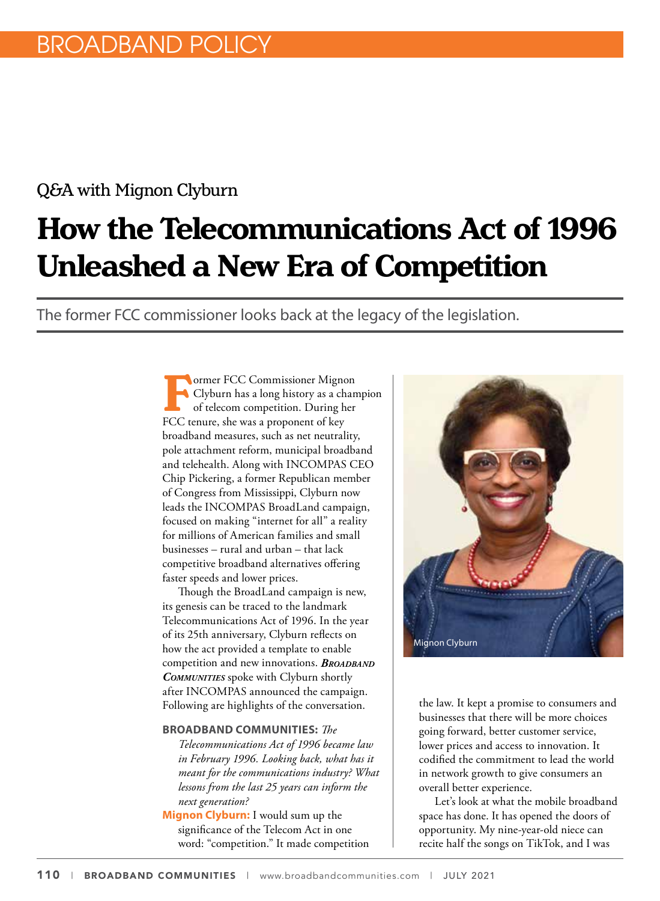## Q&A with Mignon Clyburn

## **How the Telecommunications Act of 1996 Unleashed a New Era of Competition**

The former FCC commissioner looks back at the legacy of the legislation.

FORD STREET COMMISSIONER MIGHT CLYDUIT has a long history as a channel of key FCC tenure she was a proponent of key Clyburn has a long history as a champion of telecom competition. During her FCC tenure, she was a proponent of key broadband measures, such as net neutrality, pole attachment reform, municipal broadband and telehealth. Along with INCOMPAS CEO Chip Pickering, a former Republican member of Congress from Mississippi, Clyburn now leads the INCOMPAS BroadLand campaign, focused on making "internet for all" a reality for millions of American families and small businesses – rural and urban – that lack competitive broadband alternatives offering faster speeds and lower prices.

Though the BroadLand campaign is new, its genesis can be traced to the landmark Telecommunications Act of 1996. In the year of its 25th anniversary, Clyburn reflects on how the act provided a template to enable competition and new innovations. *Broadband Communities* spoke with Clyburn shortly after INCOMPAS announced the campaign. Following are highlights of the conversation.

## **BROADBAND COMMUNITIES:** *The*

*Telecommunications Act of 1996 became law in February 1996. Looking back, what has it meant for the communications industry? What lessons from the last 25 years can inform the next generation?*

**Mignon Clyburn:** I would sum up the significance of the Telecom Act in one word: "competition." It made competition



the law. It kept a promise to consumers and businesses that there will be more choices going forward, better customer service, lower prices and access to innovation. It codified the commitment to lead the world in network growth to give consumers an overall better experience.

Let's look at what the mobile broadband space has done. It has opened the doors of opportunity. My nine-year-old niece can recite half the songs on TikTok, and I was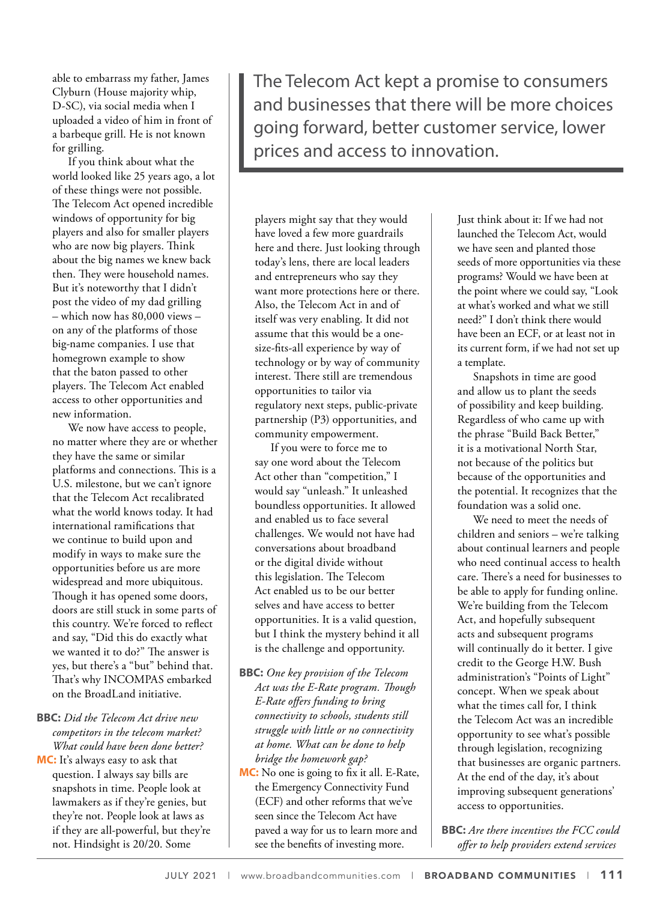able to embarrass my father, James Clyburn (House majority whip, D-SC), via social media when I uploaded a video of him in front of a barbeque grill. He is not known for grilling.

If you think about what the world looked like 25 years ago, a lot of these things were not possible. The Telecom Act opened incredible windows of opportunity for big players and also for smaller players who are now big players. Think about the big names we knew back then. They were household names. But it's noteworthy that I didn't post the video of my dad grilling – which now has 80,000 views – on any of the platforms of those big-name companies. I use that homegrown example to show that the baton passed to other players. The Telecom Act enabled access to other opportunities and new information.

We now have access to people, no matter where they are or whether they have the same or similar platforms and connections. This is a U.S. milestone, but we can't ignore that the Telecom Act recalibrated what the world knows today. It had international ramifications that we continue to build upon and modify in ways to make sure the opportunities before us are more widespread and more ubiquitous. Though it has opened some doors, doors are still stuck in some parts of this country. We're forced to reflect and say, "Did this do exactly what we wanted it to do?" The answer is yes, but there's a "but" behind that. That's why INCOMPAS embarked on the BroadLand initiative.

**BBC:** *Did the Telecom Act drive new competitors in the telecom market? What could have been done better?* **MC:** It's always easy to ask that question. I always say bills are snapshots in time. People look at lawmakers as if they're genies, but they're not. People look at laws as if they are all-powerful, but they're not. Hindsight is 20/20. Some

The Telecom Act kept a promise to consumers and businesses that there will be more choices going forward, better customer service, lower prices and access to innovation.

players might say that they would have loved a few more guardrails here and there. Just looking through today's lens, there are local leaders and entrepreneurs who say they want more protections here or there. Also, the Telecom Act in and of itself was very enabling. It did not assume that this would be a onesize-fits-all experience by way of technology or by way of community interest. There still are tremendous opportunities to tailor via regulatory next steps, public-private partnership (P3) opportunities, and community empowerment.

If you were to force me to say one word about the Telecom Act other than "competition," I would say "unleash." It unleashed boundless opportunities. It allowed and enabled us to face several challenges. We would not have had conversations about broadband or the digital divide without this legislation. The Telecom Act enabled us to be our better selves and have access to better opportunities. It is a valid question, but I think the mystery behind it all is the challenge and opportunity.

**BBC:** *One key provision of the Telecom Act was the E-Rate program. Though E-Rate offers funding to bring connectivity to schools, students still struggle with little or no connectivity at home. What can be done to help bridge the homework gap?*

**MC:** No one is going to fix it all. E-Rate, the Emergency Connectivity Fund (ECF) and other reforms that we've seen since the Telecom Act have paved a way for us to learn more and see the benefits of investing more.

Just think about it: If we had not launched the Telecom Act, would we have seen and planted those seeds of more opportunities via these programs? Would we have been at the point where we could say, "Look at what's worked and what we still need?" I don't think there would have been an ECF, or at least not in its current form, if we had not set up a template.

Snapshots in time are good and allow us to plant the seeds of possibility and keep building. Regardless of who came up with the phrase "Build Back Better," it is a motivational North Star, not because of the politics but because of the opportunities and the potential. It recognizes that the foundation was a solid one.

We need to meet the needs of children and seniors – we're talking about continual learners and people who need continual access to health care. There's a need for businesses to be able to apply for funding online. We're building from the Telecom Act, and hopefully subsequent acts and subsequent programs will continually do it better. I give credit to the George H.W. Bush administration's "Points of Light" concept. When we speak about what the times call for, I think the Telecom Act was an incredible opportunity to see what's possible through legislation, recognizing that businesses are organic partners. At the end of the day, it's about improving subsequent generations' access to opportunities.

**BBC:** *Are there incentives the FCC could offer to help providers extend services*